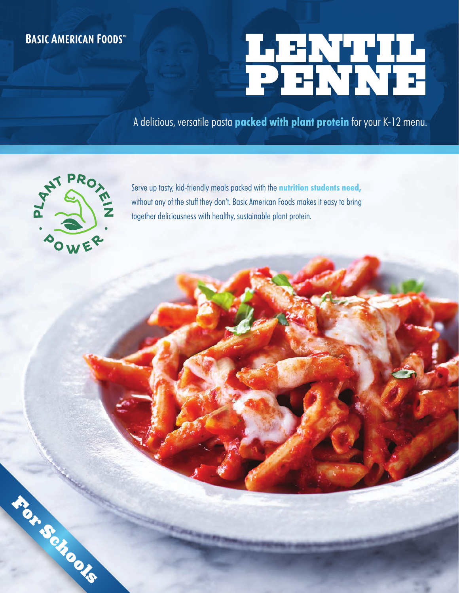# **BASIC AMERICAN FOODS**

# LENTIL PENNE

A delicious, versatile pasta **packed with plant protein** for your K-12 menu.



For Schools

Serve up tasty, kid-friendly meals packed with the **nutrition students need,** without any of the stuff they don't. Basic American Foods makes it easy to bring together deliciousness with healthy, sustainable plant protein.